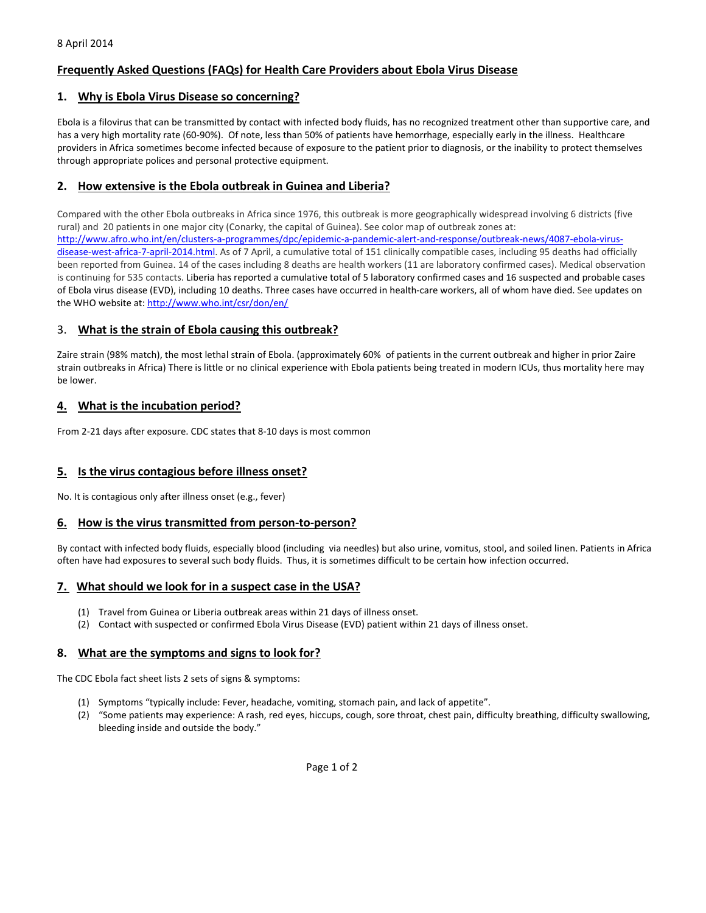# **Frequently Asked Questions (FAQs) for Health Care Providers about Ebola Virus Disease**

### **1. Why is Ebola Virus Disease so concerning?**

Ebola is a filovirus that can be transmitted by contact with infected body fluids, has no recognized treatment other than supportive care, and has a very high mortality rate (60-90%). Of note, less than 50% of patients have hemorrhage, especially early in the illness. Healthcare providers in Africa sometimes become infected because of exposure to the patient prior to diagnosis, or the inability to protect themselves through appropriate polices and personal protective equipment.

## **2. How extensive is the Ebola outbreak in Guinea and Liberia?**

Compared with the other Ebola outbreaks in Africa since 1976, this outbreak is more geographically widespread involving 6 districts (five rural) and 20 patients in one major city (Conarky, the capital of Guinea). See color map of outbreak zones at: [http://www.afro.who.int/en/clusters-a-programmes/dpc/epidemic-a-pandemic-alert-and-response/outbreak-news/4087-ebola-virus](http://www.afro.who.int/en/clusters-a-programmes/dpc/epidemic-a-pandemic-alert-and-response/outbreak-news/4087-ebola-virus-disease-west-africa-7-april-2014.html)[disease-west-africa-7-april-2014.html.](http://www.afro.who.int/en/clusters-a-programmes/dpc/epidemic-a-pandemic-alert-and-response/outbreak-news/4087-ebola-virus-disease-west-africa-7-april-2014.html) As of 7 April, a cumulative total of 151 clinically compatible cases, including 95 deaths had officially been reported from Guinea. 14 of the cases including 8 deaths are health workers (11 are laboratory confirmed cases). Medical observation is continuing for 535 contacts. Liberia has reported a cumulative total of 5 laboratory confirmed cases and 16 suspected and probable cases of Ebola virus disease (EVD), including 10 deaths. Three cases have occurred in health-care workers, all of whom have died. See updates on the WHO website at: <http://www.who.int/csr/don/en/>

### 3. **What is the strain of Ebola causing this outbreak?**

Zaire strain (98% match), the most lethal strain of Ebola. (approximately 60% of patients in the current outbreak and higher in prior Zaire strain outbreaks in Africa) There is little or no clinical experience with Ebola patients being treated in modern ICUs, thus mortality here may be lower.

## **4. What is the incubation period?**

From 2-21 days after exposure. CDC states that 8-10 days is most common

## **5. Is the virus contagious before illness onset?**

No. It is contagious only after illness onset (e.g., fever)

#### **6. How is the virus transmitted from person-to-person?**

By contact with infected body fluids, especially blood (including via needles) but also urine, vomitus, stool, and soiled linen. Patients in Africa often have had exposures to several such body fluids. Thus, it is sometimes difficult to be certain how infection occurred.

## **7. What should we look for in a suspect case in the USA?**

- (1) Travel from Guinea or Liberia outbreak areas within 21 days of illness onset.
- (2) Contact with suspected or confirmed Ebola Virus Disease (EVD) patient within 21 days of illness onset.

## **8. What are the symptoms and signs to look for?**

The CDC Ebola fact sheet lists 2 sets of signs & symptoms:

- (1) Symptoms "typically include: Fever, headache, vomiting, stomach pain, and lack of appetite".
- (2) "Some patients may experience: A rash, red eyes, hiccups, cough, sore throat, chest pain, difficulty breathing, difficulty swallowing, bleeding inside and outside the body."